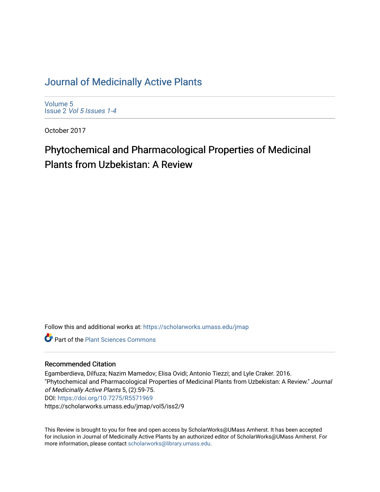# [Journal of Medicinally Active Plants](https://scholarworks.umass.edu/jmap)

[Volume 5](https://scholarworks.umass.edu/jmap/vol5) Issue 2 [Vol 5 Issues 1-4](https://scholarworks.umass.edu/jmap/vol5/iss2)

October 2017

# Phytochemical and Pharmacological Properties of Medicinal Plants from Uzbekistan: A Review

Follow this and additional works at: [https://scholarworks.umass.edu/jmap](https://scholarworks.umass.edu/jmap?utm_source=scholarworks.umass.edu%2Fjmap%2Fvol5%2Fiss2%2F9&utm_medium=PDF&utm_campaign=PDFCoverPages) 

**Part of the [Plant Sciences Commons](http://network.bepress.com/hgg/discipline/102?utm_source=scholarworks.umass.edu%2Fjmap%2Fvol5%2Fiss2%2F9&utm_medium=PDF&utm_campaign=PDFCoverPages)** 

#### Recommended Citation

Egamberdieva, Dilfuza; Nazim Mamedov; Elisa Ovidi; Antonio Tiezzi; and Lyle Craker. 2016. "Phytochemical and Pharmacological Properties of Medicinal Plants from Uzbekistan: A Review." Journal of Medicinally Active Plants 5, (2):59-75. DOI:<https://doi.org/10.7275/R5571969> https://scholarworks.umass.edu/jmap/vol5/iss2/9

This Review is brought to you for free and open access by ScholarWorks@UMass Amherst. It has been accepted for inclusion in Journal of Medicinally Active Plants by an authorized editor of ScholarWorks@UMass Amherst. For more information, please contact [scholarworks@library.umass.edu](mailto:scholarworks@library.umass.edu).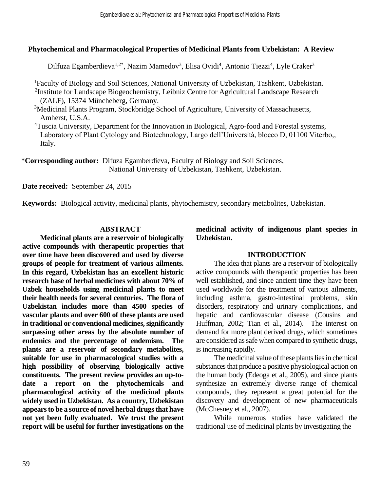#### **Phytochemical and Pharmacological Properties of Medicinal Plants from Uzbekistan: A Review**

Dilfuza Egamberdieva<sup>1,2\*</sup>, Nazim Mamedov<sup>3</sup>, Elisa Ovidi<sup>4</sup>, Antonio Tiezzi<sup>4</sup>, Lyle Craker<sup>3</sup>

<sup>1</sup>Faculty of Biology and Soil Sciences, National University of Uzbekistan, Tashkent, Uzbekistan.

<sup>2</sup>Institute for Landscape Biogeochemistry, Leibniz Centre for Agricultural Landscape Research (ZALF), 15374 Müncheberg, Germany.

<sup>3</sup>Medicinal Plants Program, Stockbridge School of Agriculture, University of Massachusetts, Amherst, U.S.A.

<sup>4</sup>Tuscia University, Department for the Innovation in Biological, Agro-food and Forestal systems, Laboratory of Plant Cytology and Biotechnology, Largo dell'Università, blocco D, 01100 Viterbo,, Italy.

\***Corresponding author:** Difuza Egamberdieva, Faculty of Biology and Soil Sciences, National University of Uzbekistan, Tashkent, Uzbekistan.

**Date received:** September 24, 2015

**Keywords:** Biological activity, medicinal plants, phytochemistry, secondary metabolites, Uzbekistan.

#### **ABSTRACT**

**Medicinal plants are a reservoir of biologically active compounds with therapeutic properties that over time have been discovered and used by diverse groups of people for treatment of various ailments. In this regard, Uzbekistan has an excellent historic research base of herbal medicines with about 70% of Uzbek households using medicinal plants to meet their health needs for several centuries. The flora of Uzbekistan includes more than 4500 species of vascular plants and over 600 of these plants are used in traditional or conventional medicines, significantly surpassing other areas by the absolute number of endemics and the percentage of endemism. The plants are a reservoir of secondary metabolites, suitable for use in pharmacological studies with a high possibility of observing biologically active constituents. The present review provides an up-todate a report on the phytochemicals and pharmacological activity of the medicinal plants widely used in Uzbekistan. As a country, Uzbekistan appears to be a source of novel herbal drugs that have not yet been fully evaluated. We trust the present report will be useful for further investigations on the** 

**medicinal activity of indigenous plant species in Uzbekistan.** 

#### **INTRODUCTION**

The idea that plants are a reservoir of biologically active compounds with therapeutic properties has been well established, and since ancient time they have been used worldwide for the treatment of various ailments, including asthma, gastro-intestinal problems, skin disorders, respiratory and urinary complications, and hepatic and cardiovascular disease (Cousins and Huffman, 2002; Tian et al., 2014). The interest on demand for more plant derived drugs, which sometimes are considered as safe when compared to synthetic drugs, is increasing rapidly.

The medicinal value of these plants lies in chemical substances that produce a positive physiological action on the human body (Edeoga et al., 2005), and since plants synthesize an extremely diverse range of chemical compounds, they represent a great potential for the discovery and development of new pharmaceuticals (McChesney et al., 2007).

While numerous studies have validated the traditional use of medicinal plants by investigating the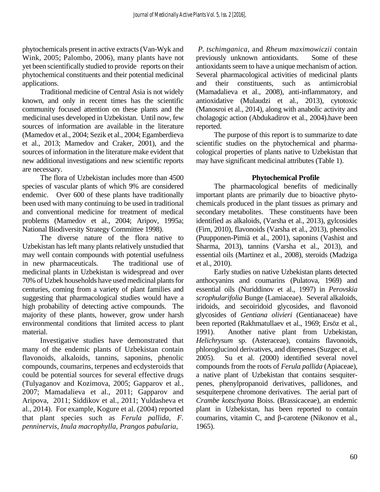phytochemicals present in active extracts (Van-Wyk and Wink, 2005; Palombo, 2006), many plants have not yet been scientifically studied to provide reports on their phytochemical constituents and their potential medicinal applications.

Traditional medicine of Central Asia is not widely known, and only in recent times has the scientific community focused attention on these plants and the medicinal uses developed in Uzbekistan. Until now, few sources of information are available in the literature (Mamedov et al., 2004; Sezik et al., 2004; Egamberdieva et al., 2013; Mamedov and Craker, 2001), and the sources of information in the literature make evident that new additional investigations and new scientific reports are necessary.

The flora of Uzbekistan includes more than 4500 species of vascular plants of which 9% are considered endemic. Over 600 of these plants have traditionally been used with many continuing to be used in traditional and conventional medicine for treatment of medical problems (Mamedov et al., 2004; Aripov, 1995a; National Biodiversity Strategy Committee 1998).

The diverse nature of the flora native to Uzbekistan has left many plants relatively unstudied that may well contain compounds with potential usefulness in new pharmaceuticals. The traditional use of medicinal plants in Uzbekistan is widespread and over 70% of Uzbek households have used medicinal plants for centuries, coming from a variety of plant families and suggesting that pharmacological studies would have a high probability of detecting active compounds. The majority of these plants, however, grow under harsh environmental conditions that limited access to plant material.

Investigative studies have demonstrated that many of the endemic plants of Uzbekistan contain flavonoids, alkaloids, tannins, saponins, phenolic compounds, coumarins, terpenes and ecdysteroids that could be potential sources for several effective drugs (Tulyaganov and Kozimova, 2005; Gapparov et al., 2007; Mamadalieva et al., 2011; Gapparov and Aripova, 2011; Siddikov et al., 2011; Yuldasheva et al., 2014). For example, Kogure et al. (2004) reported that plant species such as *Ferula pallida*, *F. penninervis*, *Inula macrophylla*, *Prangos pabularia*,

 *P. tschimganica,* and *Rheum maximowiczii* contain previously unknown antioxidants. Some of these antioxidants seem to have a unique mechanism of action. Several pharmacological activities of medicinal plants and their constituents, such as antimicrobial (Mamadalieva et al., 2008), anti-inflammatory, and antioxidative (Mulaudzi et al., 2013), cytotoxic (Manosroi et al., 2014), along with anabolic activity and cholagogic action (Abdukadirov et al., 2004).have been reported.

The purpose of this report is to summarize to date scientific studies on the phytochemical and pharmacological properties of plants native to Uzbekistan that may have significant medicinal attributes (Table 1).

#### **Phytochemical Profile**

The pharmacological benefits of medicinally important plants are primarily due to bioactive phytochemicals produced in the plant tissues as primary and secondary metabolites. These constituents have been identified as alkaloids, (Varsha et al., 2013), gylcosides (Firn, 2010), flavonoids (Varsha et al., 2013), phenolics (Puupponen-Pimiä et al., 2001), saponins (Vashist and Sharma, 2013), tannins (Varsha et al., 2013), and essential oils (Martinez et al., 2008), steroids (Madziga et al., 2010).

Early studies on native Uzbekistan plants detected anthocyanins and coumarins (Pulatova, 1969) and essential oils (Nuriddinov et al., 1997) in *Perovskia scrophularifolia* Bunge (Lamiaceae). Several alkaloids, iridoids, and secoiridoid glycosides, and flavonoid glycosides of *Gentiana olivieri* (Gentianaceae) have been reported (Rakhmatullaev et al., 1969; Ersöz et al., 1991). Another native plant from Uzbekistan, *Helichrysum* sp. (Asteraceae), contains flavonoids, phloroglucinol derivatives, and diterpenes (Suzgec et al., 2005). Su et al. (2000) identified several novel compounds from the roots of *Ferula pallida* (Apiaceae), a native plant of Uzbekistan that contains sesquiterpenes, phenylpropanoid derivatives, pallidones, and sesquiterpene chromone derivatives. The aerial part of *Crambe kotschyana* Boiss. (Brassicaceae), an endemic plant in Uzbekistan, has been reported to contain coumarins, vitamin C, and β-carotene (Nikonov et al., 1965).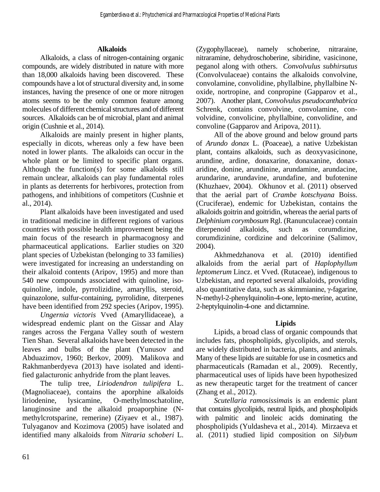#### **Alkaloids**

Alkaloids, a class of nitrogen-containing organic compounds, are widely distributed in nature with more than 18,000 alkaloids having been discovered. These compounds have a lot of structural diversity and, in some instances, having the presence of one or more nitrogen atoms seems to be the only common feature among molecules of different chemical structures and of different sources. Alkaloids can be of microbial, plant and animal origin (Cushnie et al., 2014).

Alkaloids are mainly present in higher plants, especially in dicots, whereas only a few have been noted in lower plants. The alkaloids can occur in the whole plant or be limited to specific plant organs. Although the function(s) for some alkaloids still remain unclear, alkaloids can play fundamental roles in plants as deterrents for herbivores, protection from pathogens, and inhibitions of competitors (Cushnie et al., 2014).

Plant alkaloids have been investigated and used in traditional medicine in different regions of various countries with possible health improvement being the main focus of the research in pharmacognosy and pharmaceutical applications. Earlier studies on 320 plant species of Uzbekistan (belonging to 33 families) were investigated for increasing an understanding on their alkaloid contents (Aripov, 1995) and more than 540 new compounds associated with quinoline, isoquinoline, indole, pyrrolizidine, amaryllis, steroid, quinazolone, sulfur-containing, pyrrolidine, diterpenes have been identified from 292 species (Aripov, 1995).

*Ungernia victoris* Vved (Amaryllidaceae), a widespread endemic plant on the Gissar and Alay ranges across the Fergana Valley south of western Tien Shan. Several alkaloids have been detected in the leaves and bulbs of the plant (Yunusov and Abduazimov, 1960; Berkov, 2009). Malikova and Rakhmanberdyeva (2013) have isolated and identified galacturonic anhydride from the plant leaves*.*

The tulip tree, *Liriodendron tulipifera* L. (Magnoliaceae), contains the aporphine alkaloids liriodenine, lysicamine, O-methylmoschatoline, lanuginosine and the alkaloid proaporphine (Nmethylcrotsparine, remerine) (Ziyaev et al., 1987). Tulyaganov and Kozimova (2005) have isolated and identified many alkaloids from *Nitraria schoberi* L.

(Zygophyllaceae), namely schoberine, nitraraine, nitraramine, dehydroschoberine, sibiridine, vasicinone, peganol along with others. *Convolvulus subhirsutus* (Convolvulaceae) contains the alkaloids convolvine, convolamine, convolidine, phyllalbine, phyllalbine Noxide, nortropine, and conpropine (Gapparov et al., 2007). Another plant, *Convolvulus pseudocanthabrica* Schrenk, contains convolvine, convolamine, convolvidine, convolicine, phyllalbine, convolidine, and convoline (Gapparov and Aripova, 2011).

All of the above ground and below ground parts of *Arundo donax* L. (Poaceae), a native Uzbekistan plant, contains alkaloids, such as deoxyvasicinone, arundine, ardine, donaxarine, donaxanine, donaxaridine, donine, arundinine, arundamine, arundacine, arundarine, arundavine, arundafine, and bufotenine (Khuzhaev, 2004). Okhunov et al. (2011) observed that the aerial part of *Crambe kotschyana* Boiss. (Cruciferae), endemic for Uzbekistan, contains the alkaloids goitrin and goitridin, whereas the aerial parts of *Delphinium corymbosum* Rgl. (Ranunculaceae) contain diterpenoid alkaloids, such as corumdizine, corumdizinine, cordizine and delcorinine (Salimov, 2004).

Akhmedzhanova et al. (2010) identified alkaloids from the aerial part of *Haplophyllum leptomerum* Lincz. et Vved. (Rutaceae), indigenous to Uzbekistan, and reported several alkaloids, providing also quantitative data, such as skimmianine, γ-fagarine, N-methyl-2-phenylquinolin-4-one, lepto-merine, acutine, 2-heptylquinolin-4-one and dictamnine.

# **Lipids**

Lipids, a broad class of organic compounds that includes fats, phospholipids, glycolipids, and sterols, are widely distributed in bacteria, plants, and animals. Many of these lipids are suitable for use in cosmetics and pharmaceuticals (Ramadan et al., 2009). Recently, pharmaceutical uses of lipids have been hypothesized as new therapeutic target for the treatment of cancer (Zhang et al., 2012).

*Scutellaria ramosissima*is is an endemic plant that contains glycolipids, neutral lipids, and phospholipids with palmitic and linoleic acids dominating the phospholipids (Yuldasheva et al., 2014). Mirzaeva et al. (2011) studied lipid composition on *Silybum*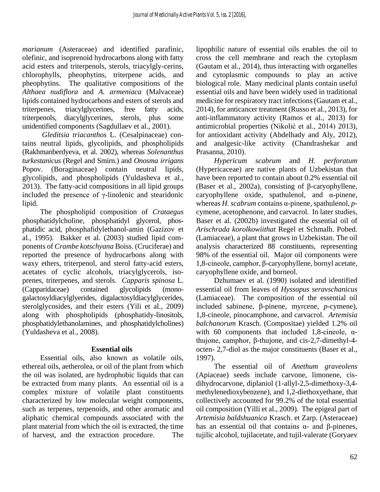*marianum* (Asteraceae) and identified parafinic, olefinic, and isoprenoid hydrocarbons along with fatty acid esters and triterpenols, sterols, triacylgly-cerins, chlorophylls, pheophytins, triterpene acids, and pheophytins. The qualitative compositions of the *Althaea nudiflora* and *A. armeniaca* (Malvaceae) lipids contained hydrocarbons and esters of sterols and triterpenes, triacylglycerines, free fatty acids, triterpenols, diacylglycerines, sterols, plus some unidentified components (Sagdullaev et al., 2001).

*Gleditsia triacanthos* L. (Cesalpinaceae) contains neutral lipids, glycolipids, and phospholipids (Rakhmanberdyeva, et al. 2002), whereas *Solenanthus turkestanicus* (Regel and Smirn.) and *Onosma irrigans*  Popov. (Boraginaceae) contain neutral lipids, glycolipids, and phospholipids (Yuldasheva et al., 2013). The fatty-acid compositions in all lipid groups included the presence of γ-linolenic and stearidonic lipid.

The phospholipid composition of *Crataegus*  phosphatidylcholine, phosphatidyl glycerol, phosphatidic acid, phosphafidylethanol-amin (Gazizov et al., 1995). Bakker et al. (2003) studied lipid components of *Crambe kotschyana* Boiss. (Cruciferae) and reported the presence of hydrocarbons along with waxy ethers, triterpenol, and sterol fatty-acid esters, acetates of cyclic alcohols, triacylglycerols, isoprenes, triterpenes, and sterols. *Capparis spinosa* L. (Capparidaceae) contained glycolipids (monogalactosyldiacylglyerides, digalactosyldiacylglycerides, sterolglycosides, and their esters (Yili et al., 2009) along with phospholipids (phosphatidy-linositols, phosphatidylethanolamines, and phosphatidylcholines) (Yuldasheva et al., 2008).

#### **Essential oils**

Essential oils, also known as volatile oils, ethereal oils, aetherolea, or oil of the plant from which the oil was isolated, are hydrophobic liquids that can be extracted from many plants. An essential oil is a complex mixture of volatile plant constituents characterized by low molecular weight components, such as terpenes, terpenoids, and other aromatic and aliphatic chemical compounds associated with the plant material from which the oil is extracted, the time of harvest, and the extraction procedure. The lipophilic nature of essential oils enables the oil to cross the cell membrane and reach the cytoplasm (Gautam et al., 2014), thus interacting with organelles and cytoplasmic compounds to play an active biological role. Many medicinal plants contain useful essential oils and have been widely used in traditional medicine for respiratory tract infections (Gautam et al., 2014), for anticancer treatment (Russo et al., 2013), for anti-inflammatory activity (Ramos et al., 2013) for antimicrobial properties (Nikolić et al., 2014) 2013), for antioxidant activity (Abdelhady and Aly, 2012), and analgesic-like activity (Chandrashekar and Prasanna*,* 2010).

*Hypericum scabrum* and *H. perforatum* (Hypericaceae) are native plants of Uzbekistan that have been reported to contain about 0.2% essential oil (Baser et al., 2002a), consisting of β-caryophyllene, caryophyllene oxide, spathulenol, and α-pinene, whereas *H. scabrum* contains α-pinene, spathulenol, *p*cymene, acetophenone, and carvacrol. In later studies, Baser et al. (2002b) investigated the essential oil of *Arischrada korolkowiithat* Regel et Schmalh. Pobed. (Lamiaceae), a plant that grows in Uzbekistan. The oil analysis characterized 88 constituents, representing 98% of the essential oil. Major oil components were 1,8-cineole, camphor, β-caryophyllene, bornyl acetate, caryophyllene oxide, and borneol.

Dzhumaev et al. (1990) isolated and identified essential oil from leaves of *Hyssopus seravschanicus* (Lamiaceae). The composition of the essential oil included sabinene, β-pinene, myrcene, *p*-cymene), 1,8-cineole, pinocamphone, and carvacrol. *Artemisia balchanorum* Krasch. (Compositae) yielded 1.2% oil with 60 components that included 1,8-cineole,  $\alpha$ thujone, camphor, β-thujone, and cis-2,7-dimethyl-4 octen- 2,7-diol as the major constituents (Baser et al., 1997).

The essential oil of *Anethum graveolens*  (Apiaceae) seeds include carvone, limonene, cisdihydrocarvone, diplaniol (1-allyl-2,5-dimethoxy-3,4 methylenedioxybenzene), and 1,2-diethoxyethane, that collectively accounted for 99.2% of the total essential oil composition (Yilli et al., 2009). The epigeal part of *Artemisia baldshuanica* Krasch. et Zarp. (Asteraceae) has an essential oil that contains  $α$ - and β-pinenes, tujilic alcohol, tujilacetate, and tujil-valerate (Goryaev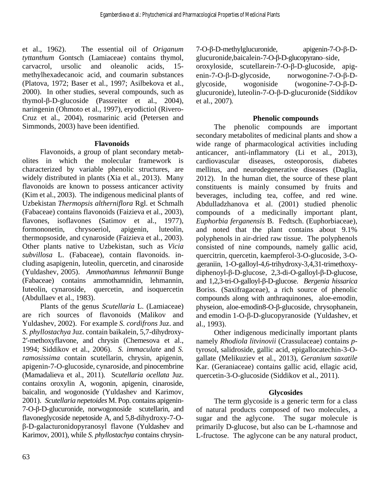et al., 1962). The essential oil of *Origanum tyttanthum* Gontsch (Lamiaceae) contains thymol, carvacrol, ursolic and oleanolic acids, 15 methylhexadecanoic acid, and coumarin substances (Platova, 1972; Baser et al., 1997; Asilbekova et al., 2000). In other studies, several compounds, such as thymol-β-D-glucoside (Passreiter et al., 2004), naringenin (Ohmoto et al., 1997), eryodictiol (Rivero-Cruz et al., 2004), rosmarinic acid (Petersen and Simmonds, 2003) have been identified.

#### **Flavonoids**

Flavonoids, a group of plant secondary metabolites in which the molecular framework is characterized by variable phenolic structures, are widely distributed in plants (Xia et al., 2013). Many flavonoids are known to possess anticancer activity (Kim et al., 2003). The indigenous medicinal plants of Uzbekistan *Thermopsis altherniflora* Rgl. et Schmalh (Fabaceae) contains flavonoids (Faizieva et al., 2003), flavones, isoflavones (Satimov et al., 1977), formononetin, chrysoeriol, apigenin, luteolin, thermopsoside, and cynaroside (Faizieva et al., 2003). Other plants native to Uzbekistan, such as *Vicia subvillosa* L. (Fabaceae), contain flavonoids. including asapigenin, luteolin, quercetin, and cinaroside (Yuldashev, 2005). *Ammothamnus lehmannii* Bunge (Fabaceae) contains ammothamnidin, lehmannin, Iuteolin, cynaroside, quercetin, and isoquercetin (Abdullaev et al., 1983).

Plants of the genus *Scutellaria* L. (Lamiaceae) are rich sources of flavonoids (Malikov and Yuldashev, 2002). For example *S. cordifrons* Juz. and *S. phyllostachya* Juz. contain baikalein, 5,7-dihydroxy-2′-methoxyflavone, and chrysin (Chemesova et al., 1994; Siddikov et al., 2006). *S. immaculate* and *S. ramosissima* contain scutellarin, chrysin, apigenin, apigenin-7-O-glucoside, cynaroside, and pinocembrine (Mamadalieva et al., 2011). Sc*utellaria ocellata* Juz. contains oroxylin A, wogonin, apigenin, cinaroside, baicalin, and wogonoside (Yuldashev and Karimov, 2001). *Scutellaria nepetoides* M. Pop. contains apigenin-7-O-β-D-glucuronide, norwogonoside scutellarin, and flavoneglycoside nepetoside A, and 5,8-dihydroxy-7-Oβ-D-galacturonidopyranosyl flavone (Yuldashev and Karimov, 2001), while *S. phyllostachya* contains chrysin7-O-β-D-methylglucuronide, apigenin-7-O-β-Dglucuronide,baicalein-7-O-β-D-glucopyrano–side, oroxyloside, scutellarein-7-O-β-D-glucoside, apigenin-7-O-β-D-glycoside, norwogonine-7-O-β-Dglycoside, wogoniside (wogonine-7-O-β-D-

glucuronide), luteolin-7-O-β-D-glucuronide (Siddikov et al., 2007).

## **Phenolic compounds**

The phenolic compounds are important secondary metabolites of medicinal plants and show a wide range of pharmacological activities including anticancer, anti-inflammatory (Li et al., 2013), cardiovascular diseases, osteoporosis, diabetes mellitus, and neurodegenerative diseases (Daglia, 2012). In the human diet, the source of these plant constituents is mainly consumed by fruits and beverages, including tea, coffee, and red wine. Abdulladzhanova et al. (2001) studied phenolic compounds of a medicinally important plant, *Euphorbia ferganensis* B. Fedtsch. (Euphorbiaceae), and noted that the plant contains about 9.1% polyphenols in air-dried raw tissue. The polyphenols consisted of nine compounds, namely gallic acid, quercitrin, quercetin, kaempferol-3-O-glucoside, 3-O- .geraniin, 1-O-galloyl-4,6-trihydroxy-3,4,31-trimethoxydiphenoyl-β-D-glucose, 2,3-di-O-galloyl-β-D-glucose, and 1,2,3-tri-O-galloyl-β-D-glucose. *Bergenia hissarica* Boriss. (Saxifragaceae), a rich source of phenolic compounds along with anthraquinones, aloe-emodin, physeion, aloe-emodin8-O-β-glucoside, chrysophanein, and emodin 1-O-β-D-glucopyranoside (Yuldashev, et al., 1993).

Other indigenous medicinally important plants namely *Rhodiola litvinovii* (Crassulaceae) contains *p*tyrosol, salidroside, gallic acid, epigallocatechin-3-Ogallate (Melikuziev et al., 2013), *Geranium saxatile* Kar. (Geraniaceae) contains gallic acid, ellagic acid, quercetin-3-O-glucoside (Siddikov et al., 2011).

#### **Glycosides**

The term glycoside is a generic term for a class of natural products composed of two molecules, a sugar and the aglycone. The sugar molecule is primarily D-glucose, but also can be L-rhamnose and L-fructose. The aglycone can be any natural product,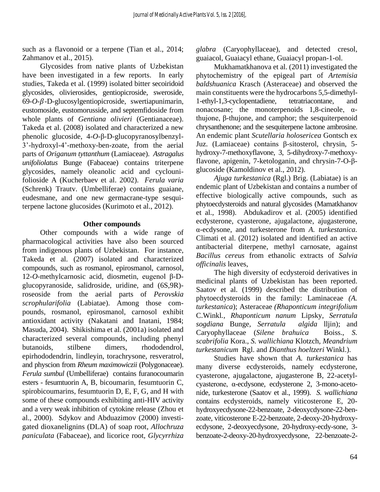such as a flavonoid or a terpene (Tian et al., 2014; Zahmanov et al., 2015).

Glycosides from native plants of Uzbekistan have been investigated in a few reports. In early studies, Takeda et al. (1999) isolated bitter secoiridoid glycosides, olivierosides, gentiopicroside, sweroside,  $69 - O - \beta - D$ -glucosylgentiopicroside, swertiapunimarin, eustomoside, eustomorusside, and septemfidoside from whole plants of *Gentiana olivieri* (Gentianaceae). Takeda et al. (2008) isolated and characterized a new phenolic glucoside, 4-*O*-β-D-glucopyranosylbenzyl-3'-hydroxyl-4'-methoxy-ben-zoate, from the aerial parts of *Origanum tyttanthum* (Lamiaceae). *Astragalus unifoliolatus* Bunge (Fabaceae) contains triterpene glycosides, namely oleanolic acid and cyclounifolioside A (Kucherbaev et al. 2002). *Ferula varia* (Schrenk) Trautv. (Umbelliferae) contains guaiane, eudesmane, and one new germacrane-type sesquiterpene lactone glucosides (Kurimoto et al., 2012).

#### **Other compounds**

Other compounds with a wide range of pharmacological activities have also been sourced from indigenous plants of Uzbekistan. For instance, Takeda et al. (2007) isolated and characterized compounds, such as rosmanol, epirosmanol, carnosol, 12-*O*-methylcarnosic acid, diosmetin, eugenol β-Dglucopyranoside, salidroside, uridine, and (6S,9R) roseoside from the aerial parts of *Perovskia scrophularifolia* (Labiatae). Among those compounds, rosmanol, epirosmanol, carnosol exhibit antioxidant activity (Nakatani and Inatani, 1984; Masuda, 2004). Shikishima et al. (2001a) isolated and characterized several compounds, including phenyl butanoids, stilbene dimers, rhododendrol, epirhododendrin, lindleyin, torachrysone, resveratrol, and physcion from *Rheum maximowiczii* (Polygonaceae). *Ferula sumbul* (Umbelliferae) contains furanocoumarin esters - fesumtuorin A, B, bicoumarin, fesumtuorin C, spirobicoumarins, fesumtuorin D, E, F, G, and H with some of these compounds exhibiting anti-HIV activity and a very weak inhibition of cytokine release (Zhou et al., 2000). Sdykov and Abduazimov (2000) investigated dioxanelignins (DLA) of soap root, *Allochruza paniculata* (Fabaceae), and licorice root, *Glycyrrhiza* 

*glabra* (Caryophyllaceae), and detected cresol, guaiacol, Guaiacyl ethane, Guaiacyl propan-1-ol.

Mukhamatkhanova et al. (2011) investigated the phytochemistry of the epigeal part of *Artemisia baldshuanica* Krasch (Asteraceae) and observed the main constituents were the hydrocarbons 5,5-dimethyl-1-ethyl-1,3-cyclopentadiene, tetratriacontane, and nonacosane; the monoterpenoids 1,8-cineole, αthujone, β-thujone, and camphor; the sesquiterpenoid chrysanthenone; and the sesquiterpene lactone ambrosine. An endemic plant *Scutellaria holosericea* Gontsch ex Juz. (Lamiaceae) contains β-sitosterol, chrysin, 5 hydroxy-7-methoxyflavone, 3, 5-dihydroxy-7-methoxyflavone, apigenin, 7-ketologanin, and chrysin-7-O-βglucoside (Kamoldinov et al., 2012).

*Ajuga turkestanica* (Rgl.) Brig. (Labiatae) is an endemic plant of Uzbekistan and contains a number of effective biologically active compounds, such as phytoecdysteroids and natural glycosides (Mamatkhanov et al., 1998). Abdukadirov et al. (2005) identified ecdysterone, cyasterone, ajugalactone, ajugasterone, α-ecdysone, and turkesterone from *A. turkestanica.* Climati et al. (2012) isolated and identified an active antibacterial diterpene, methyl carnosate, against *Bacillus cereus* from ethanolic extracts of *Salvia officinalis* leaves,

The high diversity of ecdysteroid derivatives in medicinal plants of Uzbekistan has been reported. Saatov et al. (1999) described the distribution of phytoecdysteroids in the family: Laminaceae *(A. turkestanica*); Asteraceae *(Rhaponticum integrifolium*  C.Winkl*., Rhaponticum nanum* Lipsky*, Serratula sogdiana* Bunge*, Serratula algida* lljin); and Caryophyllaceae (*Silene brahuica* Boiss., *S. scabrifolia* Kora., *S. wallichiana* Klotzch, *Meandrium turkestanicum* Rgl. and *Dianthus hoeltzeri* Winkl.).

Studies have shown that *A. turkestanica* has many diverse ecdysteroids, namely ecdysterone, cyasterone, ajugalactone, ajugasterone B, 22-acetylcyasterone, α-ecdysone, ecdysterone 2, 3-mono-acetonide, turkesterone (Saatov et al., 1999). *S. wallichiana*  contains ecdysteroids, namely viticosterone E, 20 hydroxyecdysone-22-benzoate, 2-deoxycdysone-22-benzoate, viticosterone E-22-benzoate, 2-deoxy-20-hydroxyecdysone, 2-deoxyecdysone, 20-hydroxy-ecdy-sone, 3 benzoate-2-deoxy-20-hydroxyecdysone, 22-benzoate-2-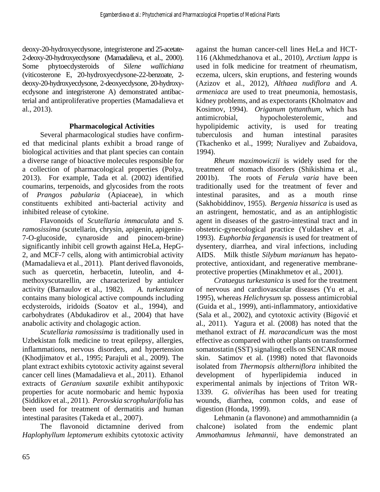deoxy-20-hydroxyecdysone, integristerone and 25-acetate-2-deoxy-20-hydroxyecdysone (Mamadalieva, et al., 2000). Some phytoecdysteroids of *Silene wallichiana* (viticosterone E, 20-hydroxyecdysone-22-benzoate, 2 deoxy-20-hydroxyecdysone, 2-deoxyecdysone, 20-hydroxyecdysone and integristerone A) demonstrated antibacterial and antiproliferative properties (Mamadalieva et al., 2013).

#### **Pharmacological Activities**

Several pharmacological studies have confirmed that medicinal plants exhibit a broad range of biological activities and that plant species can contain a diverse range of bioactive molecules responsible for a collection of pharmacological properties (Polya, 2013). For example, Tada et al. (2002) identified coumarins, terpenoids, and glycosides from the roots of *Prangos pabularia* (Apiaceae)*,* in which constituents exhibited anti-bacterial activity and inhibited release of cytokine.

Flavonoids of *Scutellaria immaculata* and *S. ramosissima* (scutellarin, chrysin, apigenin, apigenin-7-O-glucoside, cynaroside and pinocem-brine) significantly inhibit cell growth against HeLa, HepG-2, and MCF-7 cells, along with antimicrobial activity (Mamadalieva et al., 2011). Plant derived flavonoids, such as quercetin, herbacetin, luteolin, and 4 methoxyscutarellin, are characterized by antiulcer activity (Barnaulov et al., 1982). *A. turkestanica* contains many biological active compounds including ecdysteroids, iridoids (Soatov et al., 1994), and carbohydrates (Abdukadirov et al., 2004) that have anabolic activity and cholagogic action.

*Scutellaria ramosissima* is traditionally used in Uzbekistan folk medicine to treat epilepsy, allergies, inflammations, nervous disorders, and hypertension (Khodjimatov et al., 1995; Parajuli et al., 2009). The plant extract exhibits cytotoxic activity against several cancer cell lines (Mamadalieva et al., 2011). Ethanol extracts of *Geranium saxatile* exhibit antihypoxic properties for acute normobaric and hemic hypoxia (Siddikov et al., 2011). *Perovskia scrophularifolia* has been used for treatment of dermatitis and human intestinal parasites (Takeda et al., 2007).

The flavonoid dictamnine derived from *Haplophyllum leptomerum* exhibits cytotoxic activity

against the human cancer-cell lines HeLa and HCT-116 (Akhmedzhanova et al., 2010), *Arctium lappa* is used in folk medicine for treatment of rheumatism, eczema, ulcers, skin eruptions, and festering wounds (Azizov et al., 2012), *Althaea nudiflora* and *A. armeniaca* are used to treat pneumonia, hemostasis, kidney problems, and as expectorants (Kholmatov and Kosimov, 1994). *Origanum tyttanthum*, which has antimicrobial, hypocholesterolemic, and hypolipidemic activity, is used for treating tuberculosis and human intestinal parasites (Tkachenko et al., 1999; Nuraliyev and Zubaidova, 1994).

*Rheum maximowiczii* is widely used for the treatment of stomach disorders (Shikishima et al., 2001b). The roots of *Ferula varia* have been traditionally used for the treatment of fever and intestinal parasites, and as a mouth rinse (Sakhobiddinov, 1955). *Bergenia hissarica* is used as an astringent, hemostatic, and as an antiphlogistic agent in diseases of the gastro-intestinal tract and in obstetric-gynecological practice (Yuldashev et al., 1993). *Euphorbia ferganensis* is used for treatment of dysentery, diarrhea, and viral infections, including AIDS. Milk thistle *Silybum marianum* has hepatoprotective, antioxidant, and regenerative membraneprotective properties (Minakhmetov et al., 2001).

*Crataegus turkestanica* is used for the treatment of nervous and cardiovascular diseases (Yu et al., 1995), whereas *Helichrysum* sp*.* possess antimicrobial (Guida et al., 1999), anti-inflammatory, antioxidative (Sala et al., 2002), and cytotoxic activity (Bigović et al., 2011). Yagura et al. (2008) has noted that the methanol extract of *H. maracandicum* was the most effective as compared with other plants on transformed somatostatin (SST) signaling cells on SENCAR mouse skin. Satimov et al. (1998) noted that flavonoids isolated from *Thermopsis altherniflora* inhibited the development of hyperlipidemia induced in experimental animals by injections of Triton WR-1339. *G. olivieri*has has been used for treating wounds, diarrhea, common colds, and ease of digestion (Honda, 1999).

Lehmanin (a flavonone) and ammothamnidin (a chalcone) isolated from the endemic plant *Ammothamnus lehmannii*, have demonstrated an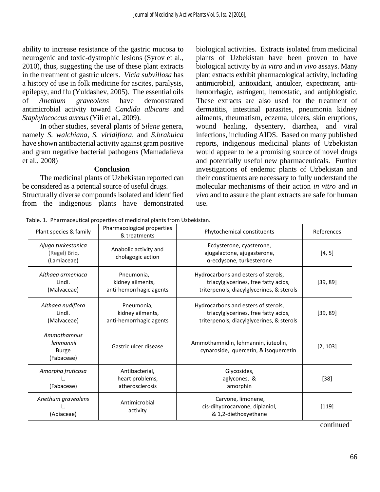ability to increase resistance of the gastric mucosa to neurogenic and toxic-dystrophic lesions (Syrov et al., 2010), thus, suggesting the use of these plant extracts in the treatment of gastric ulcers. *Vicia subvillosa* has a history of use in folk medicine for ascites, paralysis, epilepsy, and flu (Yuldashev, 2005). The essential oils of *Anethum graveolens* have demonstrated antimicrobial activity toward *Candida albicans* and *Staphylococcus aureus* (Yili et al., 2009).

In other studies, several plants of *Silene* genera, namely *S. walchiana, S. viridiflora*, and *S.brahuica*  have shown antibacterial activity against gram positive and gram negative bacterial pathogens (Mamadalieva et al., 2008)

#### **Conclusion**

The medicinal plants of Uzbekistan reported can be considered as a potential source of useful drugs. Structurally diverse compounds isolated and identified from the indigenous plants have demonstrated biological activities.Extracts isolated from medicinal plants of Uzbekistan have been proven to have biological activity by *in vitro* and *in vivo* assays. Many plant extracts exhibit pharmacological activity, including antimicrobial, antioxidant, antiulcer, expectorant, antihemorrhagic, astringent, hemostatic, and antiphlogistic. These extracts are also used for the treatment of dermatitis, intestinal parasites, pneumonia kidney ailments, rheumatism, eczema, ulcers, skin eruptions, wound healing, dysentery, diarrhea, and viral infections, including AIDS. Based on many published reports, indigenous medicinal plants of Uzbekistan would appear to be a promising source of novel drugs and potentially useful new pharmaceuticals. Further investigations of endemic plants of Uzbekistan and their constituents are necessary to fully understand the molecular mechanisms of their action *in vitro* and *in vivo* and to assure the plant extracts are safe for human use.

Table. 1. Pharmaceutical properties of medicinal plants from Uzbekistan.

| Plant species & family                                 | Pharmacological properties<br>& treatments                | Phytochemical constituents                                                                                               | References |
|--------------------------------------------------------|-----------------------------------------------------------|--------------------------------------------------------------------------------------------------------------------------|------------|
| Ajuga turkestanica<br>(Regel) Briq.<br>(Lamiaceae)     | Anabolic activity and<br>cholagogic action                | Ecdysterone, cyasterone,<br>ajugalactone, ajugasterone,<br>α-ecdysone, turkesterone                                      | [4, 5]     |
| Althaea armeniaca<br>Lindl.<br>(Malvaceae)             | Pneumonia,<br>kidney ailments,<br>anti-hemorrhagic agents | Hydrocarbons and esters of sterols,<br>triacylglycerines, free fatty acids,<br>triterpenols, diacylglycerines, & sterols | [39, 89]   |
| Althaea nudiflora<br>Lindl.<br>(Malvaceae)             | Pneumonia,<br>kidney ailments,<br>anti-hemorrhagic agents | Hydrocarbons and esters of sterols,<br>triacylglycerines, free fatty acids,<br>triterpenols, diacylglycerines, & sterols | [39, 89]   |
| Ammothamnus<br>lehmannii<br><b>Burge</b><br>(Fabaceae) | Gastric ulcer disease                                     | Ammothamnidin, lehmannin, iuteolin,<br>cynaroside, quercetin, & isoquercetin                                             | [2, 103]   |
| Amorpha fruticosa<br>(Fabaceae)                        | Antibacterial,<br>heart problems,<br>atherosclerosis      | Glycosides,<br>aglycones, &<br>amorphin                                                                                  | $[38]$     |
| Anethum graveolens<br>(Apiaceae)                       | Antimicrobial<br>activity                                 | Carvone, limonene,<br>cis-dihydrocarvone, diplaniol,<br>& 1,2-diethoxyethane                                             | $[119]$    |
|                                                        |                                                           |                                                                                                                          | continued  |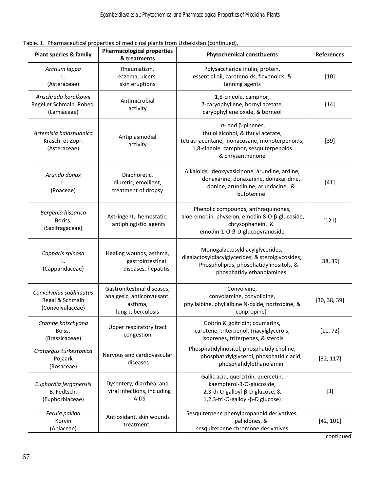#### Table. 1. Pharmaceutical properties of medicinal plants from Uzbekistan (continued).

| <b>Plant species &amp; family</b>                                | <b>Pharmacological properties</b><br>& treatments                                        | <b>Phytochemical constituents</b>                                                                                                                                                    | <b>References</b> |  |
|------------------------------------------------------------------|------------------------------------------------------------------------------------------|--------------------------------------------------------------------------------------------------------------------------------------------------------------------------------------|-------------------|--|
| Arctium lappa<br>L.<br>(Asteraceae)                              | Rheumatism,<br>eczema, ulcers,<br>skin eruptions                                         | Polysaccharide inulin, protein,<br>essential oil, carotenoids, flavonoids, &<br>tanning agents                                                                                       | $[10]$            |  |
| Arischrada korolkowii<br>Regel et Schmalh. Pobed.<br>(Lamiaceae) | Antimicrobial<br>activity                                                                | 1,8-cineole, camphor,<br>β-caryophyllene, bornyl acetate,<br>caryophyllene oxide, & borneol                                                                                          | $[14]$            |  |
| Artemisia baldshuanica<br>Krasch. et Zopr.<br>(Asteraceae)       | Antiplasmodial<br>activity                                                               | $\alpha$ - and $\beta$ -pinenes,<br>thujol alcohol, & thujyl acetate,<br>tetratriacontane, nonacosane, monoterpenoids,<br>1,8-cineole, camphor, sesquiterpenoids<br>& chrysanthenone | $[39]$            |  |
| Arundo donax<br>L.<br>(Poaceae)                                  | Diaphoretic,<br>diuretic, emollient,<br>treatment of dropsy                              | Alkaloids, deoxyvasicinone, arundine, ardine,<br>donaxarine, donaxanine, donaxaridine,<br>donine, arundinine, arundacine, &<br>bufotenine                                            | $[41]$            |  |
| Bergenia hissarica<br>Boriss.<br>(Saxifragaceae)                 | Astringent, hemostatic,<br>antiphlogistic agents                                         | Phenolic compounds, anthraquinones,<br>aloe-emodin, physeion, emodin 8-O-β-glucoside,<br>chrysophanein, &<br>emodin-1-O-β-D-glucopyranoside                                          | $[121]$           |  |
| Capparis spinosa<br>L.<br>(Capparidaceae)                        | Healing wounds, asthma,<br>gastrointestinal<br>diseases, hepatitis                       | Monogalactosyldiacylglycerides,<br>digalactosyldiacylglycerides, & sterolglycosides;<br>Phospholipids, phosphatidylinositols, &<br>phosphatidylethanolamines                         | [38, 39]          |  |
| Convolvulus subhirsutus<br>Regal & Schmalh<br>(Convolvulaceae)   | Gastrointestinal diseases,<br>analgesic, anticonvulsant,<br>asthma,<br>lung tuberculosis | Convolvine,<br>convolamine, convolidine,<br>phyllalbine, phyllalbine N-oxide, nortropine, &<br>conpropine)                                                                           | [30, 38, 39]      |  |
| Crambe kotschyana<br>Boiss.<br>(Brassicaceae)                    | Upper respiratory tract<br>congestion                                                    | Goitrin & goitridin; coumarins,<br>carotene, triterpenol, triacylglycerols,<br>isoprenes, triterpenes, & sterols                                                                     | [11, 72]          |  |
| Crataegus turkestanica<br>Pojaark<br>(Rosaceae)                  | Nervous and cardiovascular<br>diseases                                                   | Phosphatidylinositol, phosphatidylcholine,<br>phosphatidylglycerol, phosphatidic acid,<br>phosphafidylethanolamin                                                                    | [32, 117]         |  |
| Euphorbia ferganensis<br>B. Fedtsch.<br>(Euphorbiaceae)          | Dysentery, diarrhea, and<br>viral infections, including<br><b>AIDS</b>                   | Gallic acid, quercitrin, quercetin,<br>kaempferol-3-O-glucoside,<br>2,3-di-O-galloyl-β-D-glucose, &<br>1,2,3-tri-O-galloyl-β-D glucose)                                              | $[3]$             |  |
| Ferula pallida<br>Korvin<br>(Apiaceae)                           | Antioxidant, skin wounds<br>treatment                                                    | Sesquiterpene phenylpropanoid derivatives,<br>pallidones, &<br>sesquiterpene chromone derivatives                                                                                    | [42, 101]         |  |

continued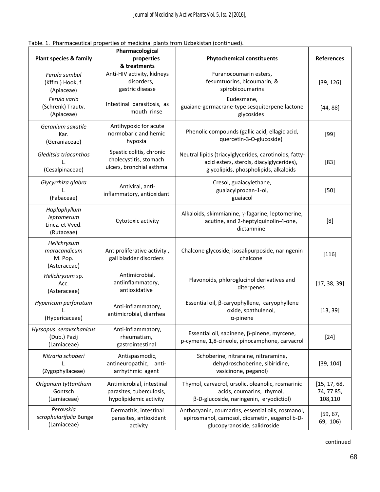|  |  | Table. 1. Pharmaceutical properties of medicinal plants from Uzbekistan (continued). |  |  |  |  |  |
|--|--|--------------------------------------------------------------------------------------|--|--|--|--|--|
|--|--|--------------------------------------------------------------------------------------|--|--|--|--|--|

|                                                             | Pharmacological                                                                 |                                                                                                                                             |                                       |  |
|-------------------------------------------------------------|---------------------------------------------------------------------------------|---------------------------------------------------------------------------------------------------------------------------------------------|---------------------------------------|--|
| <b>Plant species &amp; family</b>                           | properties<br>& treatments                                                      | <b>Phytochemical constituents</b>                                                                                                           | <b>References</b>                     |  |
| Ferula sumbul<br>(Kffm.) Hook, f.<br>(Apiaceae)             | Anti-HIV activity, kidneys<br>disorders,<br>gastric disease                     | Furanocoumarin esters,<br>fesumtuorins, bicoumarin, &<br>spirobicoumarins                                                                   | [39, 126]                             |  |
| Ferula varia<br>(Schrenk) Trautv.<br>(Apiaceae)             | Intestinal parasitosis, as<br>mouth rinse                                       | Eudesmane,<br>guaiane-germacrane-type sesquiterpene lactone<br>glycosides                                                                   | [44, 88]                              |  |
| Geranium saxatile<br>Kar.<br>(Geraniaceae)                  | Antihypoxic for acute<br>normobaric and hemic<br>hypoxia                        | Phenolic compounds (gallic acid, ellagic acid,<br>quercetin-3-O-glucoside)                                                                  | $[99]$                                |  |
| Gleditsia triacanthos<br>Τ.<br>(Cesalpinaceae)              | Spastic colitis, chronic<br>cholecystitis, stomach<br>ulcers, bronchial asthma  | Neutral lipids (triacylglycerides, carotinoids, fatty-<br>acid esters, sterols, diacylglycerides),<br>glycolipids, phospholipids, alkaloids | $[83]$                                |  |
| Glycyrrhiza glabra<br>(Fabaceae)                            | Antiviral, anti-<br>inflammatory, antioxidant                                   | Cresol, guaiacylethane,<br>guaiacylpropan-1-ol,<br>guaiacol                                                                                 | $[50]$                                |  |
| Haplophyllum<br>leptomerum<br>Lincz. et Vved.<br>(Rutaceae) | Cytotoxic activity                                                              | Alkaloids, skimmianine, y-fagarine, leptomerine,<br>acutine, and 2-heptylquinolin-4-one,<br>dictamnine                                      | [8]                                   |  |
| Helichrysum<br>maracandicum<br>M. Pop.<br>(Asteraceae)      | Antiproliferative activity,<br>gall bladder disorders                           | Chalcone glycoside, isosalipurposide, naringenin<br>chalcone                                                                                | $[116]$                               |  |
| Helichrysum sp.<br>Acc.<br>(Asteraceae)                     | Antimicrobial,<br>antiinflammatory,<br>antioxidative                            | Flavonoids, phloroglucinol derivatives and<br>diterpenes                                                                                    | [17, 38, 39]                          |  |
| Hypericum perforatum<br>(Hypericaceae)                      | Anti-inflammatory,<br>antimicrobial, diarrhea                                   | Essential oil, β-caryophyllene, caryophyllene<br>oxide, spathulenol,<br>$\alpha$ -pinene                                                    | [13, 39]                              |  |
| Hyssopus seravschanicus<br>(Dub.) Pazij<br>(Lamiaceae)      | Anti-inflammatory,<br>rheumatism,<br>gastrointestinal                           | Essential oil, sabinene, β-pinene, myrcene,<br>p-cymene, 1,8-cineole, pinocamphone, carvacrol                                               | $[24]$                                |  |
| Nitraria schoberi<br>L.<br>(Zygophyllaceae)                 | Antispasmodic,<br>antineuropathic, anti-<br>arrhythmic agent                    | Schoberine, nitraraine, nitraramine,<br>dehydroschoberine, sibiridine,<br>vasicinone, peganol)                                              | [39, 104]                             |  |
| Origanum tyttanthum<br>Gontsch<br>(Lamiaceae)               | Antimicrobial, intestinal<br>parasites, tuberculosis,<br>hypolipidemic activity | Thymol, carvacrol, ursolic, oleanolic, rosmarinic<br>acids, coumarins, thymol,<br>β-D-glucoside, naringenin, eryodictiol)                   | [15, 17, 68,<br>74, 77 85,<br>108,110 |  |
| Perovskia<br>scrophularifolia Bunge<br>(Lamiaceae)          | Dermatitis, intestinal<br>parasites, antioxidant<br>activity                    | Anthocyanin, coumarins, essential oils, rosmanol,<br>epirosmanol, carnosol, diosmetin, eugenol b-D-<br>glucopyranoside, salidroside         | [59, 67,<br>69, 106)                  |  |

continued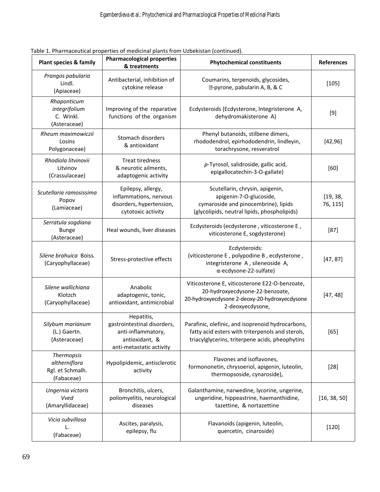| <b>Plant species &amp; family</b>                             | <b>Pharmacological properties</b><br>& treatments                                                             | <b>Phytochemical constituents</b>                                                                                                                        | <b>References</b>    |
|---------------------------------------------------------------|---------------------------------------------------------------------------------------------------------------|----------------------------------------------------------------------------------------------------------------------------------------------------------|----------------------|
| Prangos pabularia<br>Lindl.<br>(Apiaceae)                     | Antibacterial, inhibition of<br>cytokine release                                                              | Coumarins, terpenoids, glycosides,<br>D-pyrone, pabularin A, B, & C                                                                                      | $[105]$              |
| Rhaponticum<br>integrifolium<br>C. Winkl.<br>(Asteraceae)     | Improving of the reparative<br>functions of the organism                                                      | Ecdysteroids (Ecdysterone, Integristerone A,<br>dehydromakisterone A)                                                                                    | $[9]$                |
| Rheum maximowiczii<br>Losins<br>Polygonaceae)                 | Stomach disorders<br>& antioxidant                                                                            | Phenyl butanoids, stilbene dimers,<br>rhododendrol, epirhododendrin, lindleyin,<br>torachrysone, resveratrol                                             | [42, 96]             |
| Rhodiola litvinovii<br>Litvinov<br>(Crassulaceae)             | <b>Treat tiredness</b><br>& neurotic ailments,<br>adaptogenic activity                                        | p-Tyrosol, salidroside, gallic acid,<br>epigallocatechin-3-O-gallate)                                                                                    | [60]                 |
| Scutellaria ramosissima<br>Popov<br>(Lamiaceae)               | Epilepsy, allergy,<br>inflammations, nervous<br>disorders, hypertension,<br>cytotoxic activity                | Scutellarin, chrysin, apigenin,<br>apigenin-7-O-glucoside,<br>cymaroside and pinocembrine), lipids<br>(glycolipids, neutral lipids, phospholipids)       | [19, 38,<br>76, 115] |
| Serratula sogdiana<br><b>Bunge</b><br>(Asteraceae)            | Heal wounds, liver diseases                                                                                   | Ecdysteroids (ecdysterone, viticosterone E,<br>viticosterone E, sogdysterone)                                                                            | $[87]$               |
| Silene brahuica Boiss.<br>(Caryophyllaceae)                   | Stress-protective effects                                                                                     | Ecdysteroids:<br>(viticosterone E, polypodine B, ecdysterone,<br>integristerone A, sileneoside A,<br>α-ecdysone-22-sulfate)                              | [47, 87]             |
| Silene wallichiana<br>Klotzch<br>(Caryophyllaceae)            | Anabolic<br>adaptogenic, tonic,<br>antioxidant, antimicrobial                                                 | Viticosterone E, viticosterone E22-O-benzoate,<br>20-hydroxyecdysone-22-benzoate,<br>20-hydroxyecdysone 2-deoxy-20-hydroxyecdysone<br>2-deoxyecdysone,   | [47, 48]             |
| Silybum marianum<br>(L.) Gaertn.<br>(Asteraceae)              | Hepatitis,<br>gastrointestinal disorders,<br>anti-inflammatory,<br>antioxidant, &<br>anti-metastatic activity | Parafinic, olefinic, and isoprenoid hydrocarbons,<br>fatty acid esters with triterpenols and sterols,<br>triacylglycerins, triterpene acids, pheophytins | $[65]$               |
| Thermopsis<br>altherniflora<br>Rgl. et Schmalh.<br>(Fabaceae) | Hypolipidemic, antisclerotic<br>activity                                                                      | Flavones and isoflavones,<br>formononetin, chrysoeriol, apigenin, luteolin,<br>thermopsoside, cynaroside),                                               | $[28]$               |
| Ungernia victoris<br>Vved<br>(Amaryllidaceae)                 | Bronchitis, ulcers,<br>poliomyelitis, neurological<br>diseases                                                | Galanthamine, narwedine, lycorine, ungerine,<br>ungeridine, hippeastrine, haemanthidine,<br>tazettine, & nortazettine                                    | [16, 38, 50]         |
| Vicia subvillosa<br>(Fabaceae)                                | Ascites, paralysis,<br>epilepsy, flu                                                                          | Flavanoids (apigenin, luteolin,<br>quercetin, cinaroside)                                                                                                | $[120]$              |

| Table 1. Pharmaceutical properties of medicinal plants from Uzbekistan (continued). |  |  |  |
|-------------------------------------------------------------------------------------|--|--|--|
|                                                                                     |  |  |  |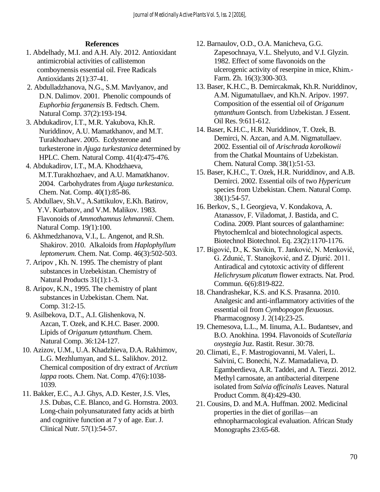## **References**

- 1. Abdelhady, M.I. and A.H. Aly. 2012. Antioxidant antimicrobial activities of callistemon comboynensis essential oil. Free Radicals Antioxidants 2(1):37-41.
- 2. Abdulladzhanova, N.G., S.M. Mavlyanov, and D.N. Dalimov. 2001. Phenolic compounds of *Euphorbia ferganensis* B. Fedtsch. Chem. Natural Comp. 37(2):193-194.
- 3. Abdukadirov, I.T., M.R. Yakubova, Kh.R. Nuriddinov, A.U. Mamatkhanov, and M.T. Turakhozhaev. 2005. Ecdysterone and turkesterone in *Ajuga turkestanica* determined by HPLC. Chem. Natural Comp. 41(4):475-476.
- 4. Abdukadirov, I.T., M.A. Khodzhaeva, M.T.Turakhozhaev, and A.U. Mamatkhanov. 2004. Carbohydrates from *Ajuga turkestanica*. Chem. Nat. Comp. 40(1):85-86.
- 5. Abdullaev, Sh.V., A.Sattikulov, E.Kh. Batirov, Y.V. Kurbatov, and V.M. Malikov. 1983. Flavonoids of *Ammothamnus lehmannii*. Chem. Natural Comp. 19*(*1):100.
- 6. Akhmedzhanova, V.I., L. Angenot, and R.Sh. Shakirov. 2010. Alkaloids from *Haplophyllum leptomerum.* Chem. Nat. Comp. 46(3):502-503.
- 7. Aripov , Kh. N. 1995. The chemistry of plant substances in Uzebekistan. Chemistry of Natural Products 31(1):1-3.
- 8. Aripov, K.N., 1995. The chemistry of plant substances in Uzbekistan. Chem. Nat. Comp. 31:2-15.
- 9. Asilbekova, D.T., A.I. Glishenkova, N. Azcan, T. Ozek, and K.H.C. Baser. 2000. Lipids of *Origanum tyttanthum*. Chem. Natural Comp. 36:124-127.
- 10. Azizov, U.M., U.A. Khadzhieva, D.A. Rakhimov, L.G. Mezhlumyan, and S.L. Salikhov. 2012. Chemical composition of dry extract of *Arctium lappa* roots. Chem. Nat. Comp. 47(6):1038- 1039.
- 11. Bakker, E.C., A.J. Ghys, A.D. Kester, J.S. Vles, J.S. Dubas, C.E. Blanco, and G. Hornstra. 2003. Long-chain polyunsaturated fatty acids at birth and cognitive function at 7 y of age. Eur. J. Clinical Nutr. 57(1):54-57.
- 12. Barnaulov, O.D., O.A. Manicheva, G.G. Zapesochnaya, V.L. Shelyuto, and V.I. Glyzin. 1982. Effect of some flavonoids on the ulcerogenic activity of reserpine in mice, Khim.- Farm. Zh. 16(3):300-303.
- 13. Baser, K.H.C., B. Demircakmak, Kh.R. Nuriddinov, A.M. Nigumatullaev, and Kh.N. Aripov. 1997. Composition of the essential oil of *Origanum tyttanthum* Gontsch. from Uzbekistan. J Essent. Oil Res. 9:611-612.
- 14. Baser, K.H.C., H.R. Nuriddinov, T. Ozek, B. Demirci, N. Azcan, and A.M. Nigmatullaev. 2002. Essential oil of *Arischrada korolkowii* from the Chatkal Mountains of Uzbekistan. Chem. Natural Comp. 38(1):51-53.
- 15. Baser, K.H.C., T. Ozek, H.R. Nuriddinov, and A.B. Demirci. 2002. Essential oils of two *Hypericum* species from Uzbekistan. Chem. Natural Comp. 38(1):54-57.
- 16. Berkov, S., I. Georgieva, V. Kondakova, A. Atanassov, F. Viladomat, J. Bastida, and C. Codina. 2009. Plant sources of galanthamine: PhytochemIcal and biotechnological aspects. Biotechnol Biotechnol. Eq. 23(2):1170-1176.
- 17. Bigović, D., K. Savikin, T. Janković, N. Menković, G. Zdunić, T. Stanojković, and Z. Djurić. 2011. Antiradical and cytotoxic activity of different *Helichrysum plicatum* flower extracts. Nat. Prod. Commun. 6(6):819-822.
- 18. Chandrashekar, K.S. and K.S. Prasanna. 2010. Analgesic and anti-inflammatory activities of the essential oil from *Cymbopogon flexuosus*. Pharmacognosy J. 2(14):23-25.
- 19. Chemesova, L.L., M. Iinuma, A.L. Budantsev, and B.O. Anokhina. 1994. Flavonoids of *Scutellaria oxystegia* Juz. Rastit. Resur. 30:78.
- 20. Climati, E., F. Mastrogiovanni, M. Valeri, L. Salvini, C. Bonechi, N.Z. Mamadalieva, D. Egamberdieva, A.R. Taddei, and A. Tiezzi. 2012. Methyl carnosate, an antibacterial diterpene isolated from *Salvia officinalis* Leaves. Natural Product Comm. 8(4):429-430.
- 21. Cousins, D. and M.A. Huffman. 2002. Medicinal properties in the diet of gorillas—an ethnopharmacological evaluation. African Study Monographs 23:65-68.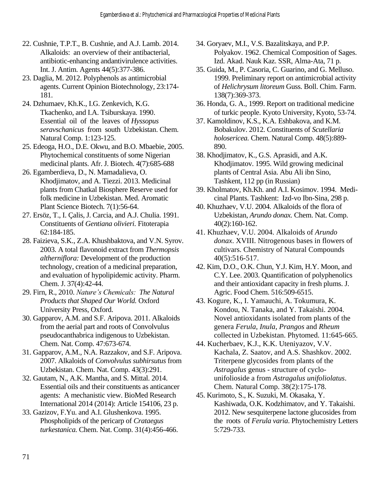- 22. Cushnie, T.P.T., B. Cushnie, and A.J. Lamb. 2014. Alkaloids: an overview of their antibacterial, antibiotic-enhancing andantivirulence activities. Int. J. Antim. Agents 44(5):377-386.
- 23. Daglia, M. 2012. Polyphenols as antimicrobial agents. Current Opinion Biotechnology, 23:174- 181.
- 24. Dzhumaev, Kh.K., I.G. Zenkevich, K.G. Tkachenko, and I.A. Tsiburskaya. 1990. Essential oil of the leaves of *Hyssopus seravschanicus* from south Uzbekistan. Chem. Natural Comp. 1:123-125.
- 25. Edeoga, H.O., D.E. Okwu, and B.O. Mbaebie, 2005. Phytochemical constituents of some Nigerian medicinal plants. Afr. J. Biotech. 4(7):685-688
- 26. Egamberdieva, D., N. Mamadalieva, O. Khodjimatov, and A. Tiezzi. 2013. Medicinal plants from Chatkal Biosphere Reserve used for folk medicine in Uzbekistan. Med. Aromatic Plant Science Biotech. 7(1):56-64.
- 27. Ersöz, T., I. Çalis, J. Carcia, and A.J. Chulia. 1991. Constituents of *Gentiana olivieri.* Fitoterapia 62:184-185.
- 28. Faizieva, S.K., Z.A. Khushbaktova, and V.N. Syrov. 2003. A total flavonoid extract from *Thermopsis altherniflora:* Development of the production technology, creation of a medicinal preparation, and evaluation of hypolipidemic activity. Pharm. Chem. J. 37(4):42-44.
- 29. Firn, R., 2010. *Nature's Chemicals: The Natural Products that Shaped Our World.* Oxford University Press, Oxford.
- 30. Gapparov, A.M. and S.F. Aripova. 2011. Alkaloids from the aerial part and roots of Convolvulus pseudocanthabrica indigenous to Uzbekistan. Chem. Nat. Comp. 47:673-674.
- 31. Gapparov, A.M., N.A. Razzakov, and S.F. Aripova. 2007. Alkaloids of *Convolvulus subhirsutus* from Uzbekistan. Chem. Nat. Comp. 43(3):291.
- 32. Gautam, N., A.K. Mantha, and S. Mittal. 2014. Essential oils and their constituents as anticancer agents: A mechanistic view. BioMed Research International 2014 (2014): Article 154106, 23 p.
- 33. Gazizov, F.Yu. and A.I. Glushenkova. 1995. Phospholipids of the pericarp of *Crataegus turkestanica.* Chem. Nat. Comp. 31(4):456-466.
- 34. Goryaev, M.I., V.S. Bazalitskaya, and P.P. Polyakov. 1962. Chemical Composition of Sages. Izd. Akad. Nauk Kaz. SSR, Alma-Ata, 71 p.
- 35. Guida, M., P. Casoria, C. Guarino, and G. Melluso. 1999. Preliminary report on antimicrobial activity of *Helichrysum litoreum* Guss. Boll. Chim. Farm. 138(7):369-373.
- 36. Honda, G. A., 1999. Report on traditional medicine of turkic people. Kyoto University, Kyoto, 53-74.
- 37. Kamoldinov, K.S., K.A. Eshbakova, and K.M. Bobakulov. 2012. Constituents of *Scutellaria holosericea.* Chem. Natural Comp. 48(5):889- 890.
- 38. Khodjimatov, K., G.S. Aprasidi, and A.K. Khodjimatov. 1995. Wild growing medicinal plants of Central Asia. Abu Ali ibn Sino, Tashkent, 112 pp (in Russian)
- 39. Kholmatov, Kh.Kh. and A.I. Kosimov. 1994. Medicinal Plants. Tashkent: Izd-vo Ibn-Sina, 298 p.
- 40. Khuzhaev, V.U. 2004. Alkaloids of the flora of Uzbekistan, *Arundo donax.* Chem. Nat. Comp. 40(2):160-162.
- 41. Khuzhaev, V.U. 2004. Alkaloids of *Arundo donax*. XVIII. Nitrogenous bases in flowers of cultivars. Chemistry of Natural Compounds 40(5):516-517.
- 42. Kim, D.O., O.K. Chun, Y.J. Kim, H.Y. Moon, and C.Y. Lee. 2003. Quantification of polyphenolics and their antioxidant capacity in fresh plums. J. Agric. Food Chem. 516:509-6515.
- 43. Kogure, K., I. Yamauchi, A. Tokumura, K. Kondou, N. Tanaka, and Y. Takaishi. 2004. Novel antioxidants isolated from plants of the genera *Ferula*, *Inula*, *Prangos* and *Rheum*  collected in Uzbekistan. Phytomed. 11:645-665.
- 44. Kucherbaev, K.J., K.K. Uteniyazov, V.V. Kachala, Z. Saatov, and A.S. Shashkov. 2002. Triterpene glycosides from plants of the *Astragalus* genus - structure of cyclounifolioside a from *Astragalus unifoliolatus*. Chem. Natural Comp. 38(2):175-178.
- 45. Kurimoto, S., K. Suzuki, M. Okasaka, Y. Kashiwada, O.K. Kodzhimatov, and Y. Takaishi. 2012. New sesquiterpene lactone glucosides from the roots of *Ferula varia*. Phytochemistry Letters 5:729-733.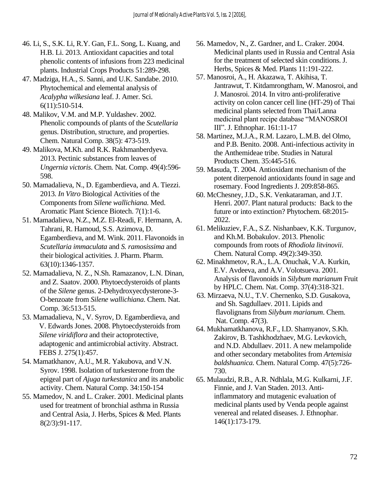- 46. Li, S., S.K. Li, R.Y. Gan, F.L. Song, L. Kuang, and H.B. Li. 2013. Antioxidant capacities and total phenolic contents of infusions from 223 medicinal plants. Industrial Crops Products 51:289-298.
- 47. Madziga, H.A., S. Sanni, and U.K. Sandabe. 2010. Phytochemical and elemental analysis of *Acalypha wilkesiana* leaf. J. Amer. Sci. 6(11):510-514.
- 48. Malikov, V.M. and M.P. Yuldashev. 2002. Phenolic compounds of plants of the *Scutellaria* genus. Distribution, structure, and properties. Chem. Natural Comp. 38(5): 473-519.
- 49. Malikova, M.Kh. and R.K. Rakhmanberdyeva. 2013. Pectinic substances from leaves of *Ungernia victoris*. Chem. Nat. Comp. 49(4):596- 598.
- 50. Mamadalieva, N., D. Egamberdieva, and A. Tiezzi. 2013. *In Vitro* Biological Activities of the Components from *Silene wallichiana.* Med. Aromatic Plant Science Biotech. 7(1):1-6.
- 51. Mamadalieva, N.Z., M.Z. El-Readi, F. Hermann, A. Tahrani, R. Hamoud, S.S. Azimova, D. Egamberdieva, and M. Wink. 2011. Flavonoids in *Scutellaria immaculata* and *S. ramosissima* and their biological activities*.* J. Pharm. Pharm. 63(10):1346-1357.
- 52. Mamadalieva, N. Z., N.Sh. Ramazanov, L.N. Dinan, and Z. Saatov. 2000. Phytoecdysteroids of plants of the *Silene* genus. 2-Dehydroxyecdysterone-3- O-benzoate from *Silene wallichiana*. Chem. Nat. Comp. 36:513-515.
- 53. Mamadalieva, N., V. Syrov, D. Egamberdieva, and V. Edwards Jones. 2008. Phytoecdysteroids from *Silene viridiflora* and their actoprotective, adaptogenic and antimicrobial activity. Abstract. FEBS J. 275(1):457.
- 54. Mamatkhanov, A.U., M.R. Yakubova, and V.N. Syrov. 1998. Isolation of turkesterone from the epigeal part of *Ajuga turkestanica* and its anabolic activity. Chem. Natural Comp. 34:150-154
- 55. Mamedov, N. and L. Craker. 2001. Medicinal plants used for treatment of bronchial asthma in Russia and Central Asia, J. Herbs, Spices & Med. Plants 8(2/3):91-117.
- 56. Mamedov, N., Z. Gardner, and L. Craker. 2004. Medicinal plants used in Russia and Central Asia for the treatment of selected skin conditions. J. Herbs, Spices & Med. Plants 11:191-222.
- 57. Manosroi, A., H. Akazawa, T. Akihisa, T. Jantrawut, T. Kitdamrongtham, W. Manosroi, and J. Manosroi. 2014. In vitro anti-proliferative activity on colon cancer cell line (HT-29) of Thai medicinal plants selected from Thai/Lanna medicinal plant recipe database "MANOSROI III". J. Ethnophar. 161:11-17
- 58. Martinez, M.J.A., R.M. Lazaro, L.M.B. del Olmo, and P.B. Benito. 2008. Anti-infectious activity in the Anthemideae tribe. Studies in Natural Products Chem. 35:445-516.
- 59. Masuda, T. 2004. Antioxidant mechanism of the potent diterpenoid antioxidants found in sage and rosemary. Food Ingredients J. 209:858-865.
- 60. McChesney, J.D., S.K. Venkataraman, and J.T. Henri. 2007. Plant natural products: Back to the future or into extinction? Phytochem. 68:2015- 2022.
- 61. Melikuziev, F.A., S.Z. Nishanbaev, K.K. Turgunov, and Kh.M. Bobakulov. 2013. Phenolic compounds from roots of *Rhodiola litvinovii*. Chem. Natural Comp. 49(2):349-350.
- 62. Minakhmetov, R.A., L.A. Onuchak, V.A. Kurkin, E.V. Avdeeva, and A.V. Volotsueva. 2001. Analysis of flavonoids in *Silybum marianum* Fruit by HPLC. Chem. Nat. Comp. 37(4):318-321.
- 63. Mirzaeva, N.U., T.V. Chernenko, S.D. Gusakova, and Sh. Sagdullaev. 2011. Lipids and flavolignans from *Silybum marianum*. Chem. Nat. Comp. 47(3).
- 64. Mukhamatkhanova, R.F., I.D. Shamyanov, S.Kh. Zakirov, B. Tashkhodzhaev, M.G. Levkovich, and N.D. Abdullaev. 2011. A new melampolide and other secondary metabolites from *Artemisia baldshuanica.* Chem. Natural Comp. 47(5):726- 730.
- 65. Mulaudzi, R.B., A.R. Ndhlala, M.G. Kulkarni, J.F. Finnie, and J. Van Staden. 2013. Antiinflammatory and mutagenic evaluation of medicinal plants used by Venda people against venereal and related diseases. J. Ethnophar. 146(1):173-179.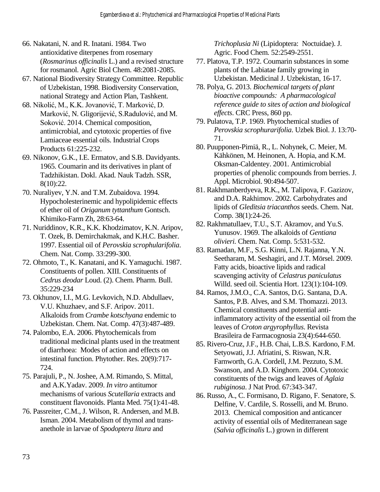- 66. Nakatani, N. and R. Inatani. 1984. Two antioxidative diterpenes from rosemary (*Rosmarinus officinalis* L.) and a revised structure for rosmanol. Agric Biol Chem. 48:2081-2085.
- 67. National Biodiversity Strategy Committee. Republic of Uzbekistan, 1998. Biodiversity Conservation, national Strategy and Action Plan, Tashkent.
- 68. Nikolić, M., K.K. Jovanović, T. Marković, D. Marković, N. Gligorijević, S.Radulović, and M. Soković. 2014. Chemical composition, antimicrobial, and cytotoxic properties of five Lamiaceae essential oils. Industrial Crops Products 61:225-232.
- 69. Nikonov, G.K., I.E. Ermatov, and S.B. Davidyants. 1965. Coumarin and its derivatives in plant of Tadzhikistan. Dokl. Akad. Nauk Tadzh. SSR, 8(10):22.
- 70. Nuraliyev, Y.N. and T.M. Zubaidova. 1994. Hypocholesterinemic and hypolipidemic effects of ether oil of *Origanum tyttanthum* Gontsch. Khimiko-Farm Zh, 28:63-64.
- 71. Nuriddinov, K.R., K.K. Khodzimatov, K.N. Aripov, T. Ozek, B. Demirchakmak, and K.H.C. Basher. 1997. Essential oil of *Perovskia scrophularifolia*. Chem. Nat. Comp. 33:299-300.
- 72. Ohmoto, T., K. Kanatani, and K. Yamaguchi. 1987. Constituents of pollen. XIII. Constituents of *Cedrus deodar* Loud. (2). Chem. Pharm. Bull. 35:229-234
- 73. Okhunov, I.I., M.G. Levkovich, N.D. Abdullaev, V.U. Khuzhaev, and S.F. Aripov. 2011. Alkaloids from *Crambe kotschyana* endemic to Uzbekistan. Chem. Nat. Comp. 47(3):487-489.
- 74. Palombo, E.A. 2006. Phytochemicals from traditional medicinal plants used in the treatment of diarrhoea: Modes of action and effects on intestinal function. Phytother. Res. 20(9):717- 724.
- 75. Parajuli, P., N. Joshee, A.M. Rimando, S. Mittal, and A.K.Yadav. 2009. *In vitro* antitumor mechanisms of various *Scutellaria* extracts and constituent flavonoids. Planta Med. 75(1):41-48.
- 76. Passreiter, C.M., J. Wilson, R. Andersen, and M.B. Isman. 2004. Metabolism of thymol and transanethole in larvae of *Spodoptera litura* and

*Trichoplusia Ni* (Lipidoptera: Noctuidae). J. Agric. Food Chem*.* 52:2549-2551.

- 77. Platova, T.P. 1972. Coumarin substances in some plants of the Labiatae family growing in Uzbekistan. Medicinal J. Uzbekistan, 16-17.
- 78. Polya, G. 2013. *Biochemical targets of plant bioactive compounds: A pharmacological reference guide to sites of action and biological effects*. CRC Press, 860 pp.
- 79. Pulatova, T.P. 1969. Phytochemical studies of *Perovskia scrophurarifolia*. Uzbek Biol. J. 13:70- 71.
- 80. Puupponen-Pimiä, R., L. Nohynek, C. Meier, M. Kähkönen, M. Heinonen, A. Hopia, and K.M. Oksman-Caldentey. 2001. Antimicrobial properties of phenolic compounds from berries. J. Appl. Microbiol. 90:494-507.
- 81. Rakhmanberdyeva, R.K., M. Talipova, F. Gazizov, and D.A. Rakhimov. 2002. Carbohydrates and lipids of *Gleditsia triacanthos* seeds. Chem. Nat. Comp. 38(1):24-26.
- 82. Rakhmatullaev, T.U., S.T. Akramov, and Yu.S. Yunusov. 1969. The alkaloids of *Gentiana olivieri.* Chem. Nat. Comp. 5:531-532.
- 83. Ramadan, M.F., S.G. Kinni, L.N. Rajanna, Y.N. Seetharam, M. Seshagiri, and J.T. Mörsel. 2009. Fatty acids, bioactive lipids and radical scavenging activity of *Celastrus paniculatus* Willd. seed oil. Scientia Hort. 123(1):104-109.
- 84. Ramos, J.M.O., C.A. Santos, D.G. Santana, D.A. Santos, P.B. Alves, and S.M. Thomazzi. 2013. Chemical constituents and potential antiinflammatory activity of the essential oil from the leaves of *Croton argyrophyllus*. Revista Brasileira de Farmacognosia 23(4):644-650.
- 85. Rivero-Cruz, J.F., H.B. Chai, L.B.S. Kardono, F.M. Setyowati, J.J. Afriatini, S. Riswan, N.R. Farnworth, G.A. Cordell, J.M. Pezzuto, S.M. Swanson, and A.D. Kinghorn. 2004. Cytotoxic constituents of the twigs and leaves of *Aglaia rubiginosa*. J Nat Prod. 67:343-347.
- 86. Russo, A., C. Formisano, D. Rigano, F. Senatore, S. Delfine, V. Cardile, S. Rosselli, and M. Bruno. 2013. Chemical composition and anticancer activity of essential oils of Mediterranean sage (*Salvia officinalis* L.) grown in different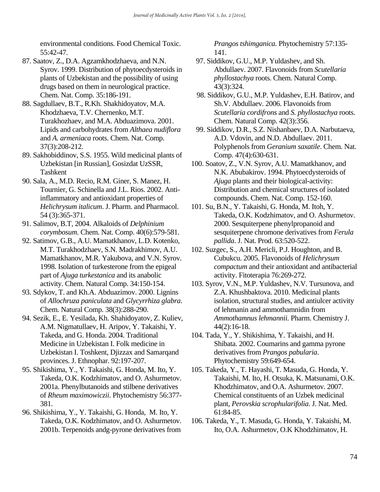environmental conditions. Food Chemical Toxic. 55:42-47.

- 87. Saatov, Z., D.A. Agzamkhodzhaeva, and N.N. Syrov. 1999. Distribution of phytoecdysteroids in plants of Uzbekistan and the possibility of using drugs based on them in neurological practice. Chem. Nat. Comp. 35:186-191.
- 88. Sagdullaev, B.T., R.Kh. Shakhidoyatov, M.A. Khodzhaeva, T.V. Chernenko, M.T. Turakhozhaev, and M.A. Abduazimova. 2001. Lipids and carbohydrates from *Althaea nudiflora*  and *A. armeniaca* roots. Chem. Nat. Comp. 37(3):208-212.
- 89. Sakhobiddinov, S.S. 1955. Wild medicinal plants of Uzbekistan [in Russian], Gosizdat UzSSR, Tashkent
- 90. Sala, A., M.D. Recio, R.M. Giner, S. Manez, H. Tournier, G. Schinella and J.L. Rios. 2002. Antiinflammatory and antioxidant properties of *Helichrysum italicum*. J. Pharm. and Pharmacol. 54 (3):365-371.
- 91. Salimov, B.T, 2004. Alkaloids of *Delphinium corymbosum*. Chem. Nat. Comp. 40(6):579-581.
- 92. Satimov, G.B., A.U. Mamatkhanov, L.D. Kotenko, M.T. Turakhodzhaev, S.N. Madrakhimov, A.U. Mamatkhanov, M.R. Yakubova, and V.N. Syrov. 1998. Isolation of turkesterone from the epigeal part of *Ajuga turkestanica* and its anabolic activity. Chem. Natural Comp. 34:150-154.
- 93. Sdykov, T. and Kh.A. Abduazimov. 2000. Lignins of *Allochruza paniculata* and *Glycyrrhiza glabra*. Chem. Natural Comp. 38(3):288-290.
- 94. Sezik, E., E. Yesilada, Kh. Shahidoyatov, Z. Kuliev, A.M. Nigmatullaev, H. Aripov, Y. Takaishi, Y. Takeda, and G. Honda. 2004. Traditional Medicine in Uzbekistan I. Folk medicine in Uzbekistan I. Toshkent, Djizzax and Samarqand provinces. J. Ethnophar. 92:197-207.
- 95. Shikishima, Y., Y. Takaishi, G. Honda, M. Ito, Y. Takeda, O.K. Kodzhimatov, and O. Ashurmetov. 2001a. Phenylbutanoids and stilbene derivatives of *Rheum maximowiczii*. Phytochemistry 56:377- 381.
- 96. Shikishima, Y., Y. Takaishi, G. Honda, M. Ito, Y. Takeda, O.K. Kodzhimatov, and O. Ashurmetov. 2001b. Terpenoids andg-pyrone derivatives from

*Prangos tshimganica.* Phytochemistry 57:135- 141.

- 97. Siddikov, G.U., M.P. Yuldashev, and Sh. Abdullaev. 2007. Flavonoids from *Scutellaria phyllostachya* roots. Chem. Natural Comp. 43(3):324.
- 98. Siddikov, G.U., M.P. Yuldashev, E.H. Batirov, and Sh.V. Abdullaev. 2006. Flavonoids from *Scutellaria cordifrons* and *S. phyllostachya* roots. Chem. Natural Comp. 42(3):356.
- 99. Siddikov, D.R., S.Z. Nishanbaev, D.A. Narbutaeva, A.D. Vdovin, and N.D. Abdullaev. 2011. Polyphenols from *Geranium saxatile*. Chem. Nat. Comp. 47(4):630-631.
- 100. Soatov, Z., V.N. Syrov, A.U. Mamatkhanov, and N.K. Abubakirov. 1994. Phytoecdysteroids of *Ajuga* plants and their biological-activity: Distribution and chemical structures of isolated compounds. Chem. Nat. Comp. 152-160.
- 101. Su, B.N., Y. Takaishi, G. Honda, M. Itoh, Y. Takeda, O.K. Kodzhimatov, and O. Ashurmetov. 2000. Sesquiterpene phenylpropanoid and sesquiterpene chromone derivatives from *Ferula pallida*. J. Nat. Prod. 63:520-522.
- 102. Suzgec, S., A.H. Mericli, P.J. Houghton, and B. Cubukcu. 2005. Flavonoids of *Helichrysum compactum* and their antioxidant and antibacterial activity. Fitoterapia 76:269-272.
- 103. Syrov, V.N., M.P. Yuldashev, N.V. Tursunova, and Z.A. Khushbaktova. 2010. Medicinal plants isolation, structural studies, and antiulcer activity of lehmanin and ammothamnidin from *Ammothamnus lehmannii.* Pharm. Chemistry J. 44(2):16-18.
- 104. Tada, Y., Y. Shikishima, Y. Takaishi, and H. Shibata. 2002. Coumarins and gamma pyrone derivatives from *Prangos pabularia*. Phytochemistry 59:649-654.
- 105. Takeda, Y., T. Hayashi, T. Masuda, G. Honda, Y. Takaishi, M. Ito, H. Otsuka, K. Matsunami, O.K. Khodzhimatov, and O.A. Ashurmetov. 2007. Chemical constituents of an Uzbek medicinal plant, *Perovskia scrophularifolia*. J. Nat. Med. 61:84-85.
- 106. Takeda, Y., T. Masuda, G. Honda, Y. Takaishi, M. Ito, O.A. Ashurmetov, O.K Khodzhimatov, H.